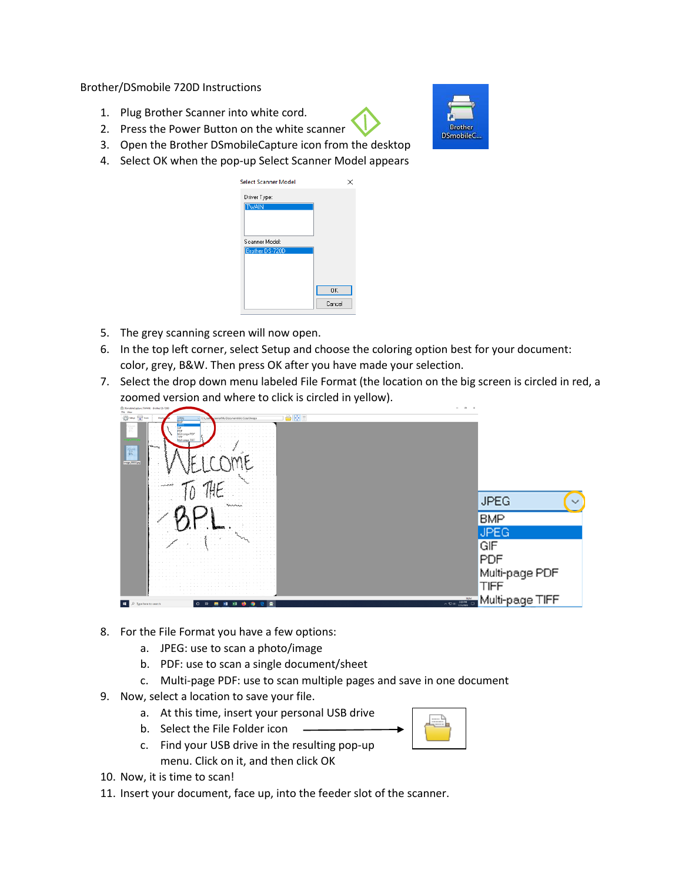Brother/DSmobile 720D Instructions

- 1. Plug Brother Scanner into white cord.
- 2. Press the Power Button on the white scanner
- 3. Open the Brother DSmobileCapture icon from the desktop
- 4. Select OK when the pop-up Select Scanner Model appears



- 5. The grey scanning screen will now open.
- 6. In the top left corner, select Setup and choose the coloring option best for your document: color, grey, B&W. Then press OK after you have made your selection.
- 7. Select the drop down menu labeled File Format (the location on the big screen is circled in red, a zoomed version and where to click is circled in yellow).



- 8. For the File Format you have a few options:
	- a. JPEG: use to scan a photo/image
	- b. PDF: use to scan a single document/sheet
	- c. Multi-page PDF: use to scan multiple pages and save in one document
- 9. Now, select a location to save your file.
	- a. At this time, insert your personal USB drive
	- b. Select the File Folder icon
	- c. Find your USB drive in the resulting pop-up menu. Click on it, and then click OK
- 

- 10. Now, it is time to scan!
- 11. Insert your document, face up, into the feeder slot of the scanner.

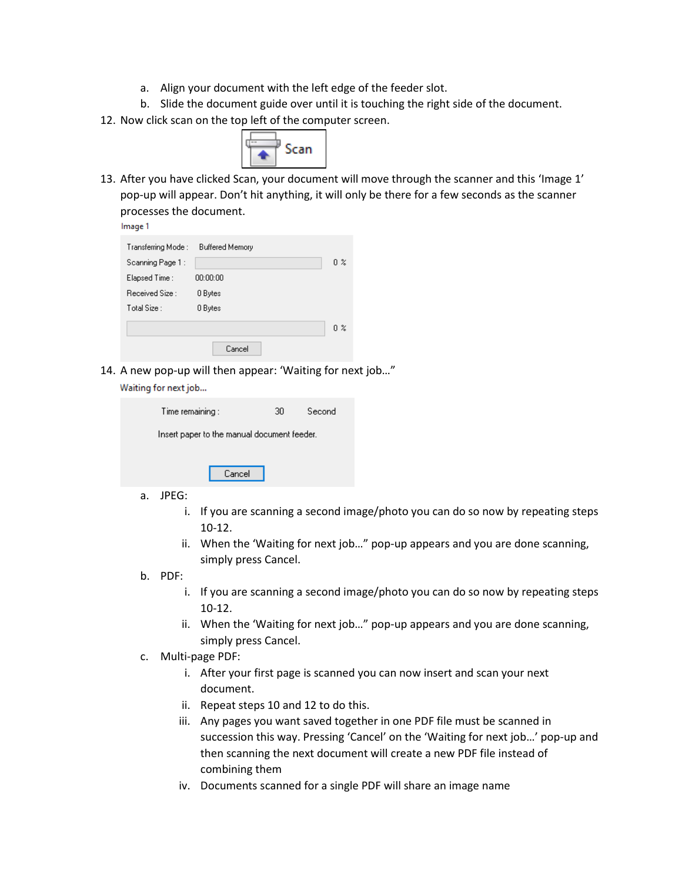- a. Align your document with the left edge of the feeder slot.
- b. Slide the document guide over until it is touching the right side of the document.
- 12. Now click scan on the top left of the computer screen.



13. After you have clicked Scan, your document will move through the scanner and this 'Image 1' pop-up will appear. Don't hit anything, it will only be there for a few seconds as the scanner processes the document.

| Transferring Mode : . | <b>Buffered Memory</b> |                |
|-----------------------|------------------------|----------------|
| Scanning Page 1 :     |                        | 0 <sup>2</sup> |
| Elapsed Time :        | 00:00:00               |                |
| Received Size :       | 0 Bytes                |                |
| Total Size :          | 0 Bytes                |                |
|                       |                        | 0 %            |
|                       | Cancel                 |                |

14. A new pop-up will then appear: 'Waiting for next job…" Waiting for next job...

| Time remaining :                            |        | 30. | Second |  |  |
|---------------------------------------------|--------|-----|--------|--|--|
| Insert paper to the manual document feeder. |        |     |        |  |  |
|                                             | Cancel |     |        |  |  |
| . <i>.</i> .                                |        |     |        |  |  |

- a. JPEG:
	- i. If you are scanning a second image/photo you can do so now by repeating steps 10-12.
	- ii. When the 'Waiting for next job…" pop-up appears and you are done scanning, simply press Cancel.
- b. PDF:
	- i. If you are scanning a second image/photo you can do so now by repeating steps 10-12.
	- ii. When the 'Waiting for next job…" pop-up appears and you are done scanning, simply press Cancel.
- c. Multi-page PDF:
	- i. After your first page is scanned you can now insert and scan your next document.
	- ii. Repeat steps 10 and 12 to do this.
	- iii. Any pages you want saved together in one PDF file must be scanned in succession this way. Pressing 'Cancel' on the 'Waiting for next job…' pop-up and then scanning the next document will create a new PDF file instead of combining them
	- iv. Documents scanned for a single PDF will share an image name